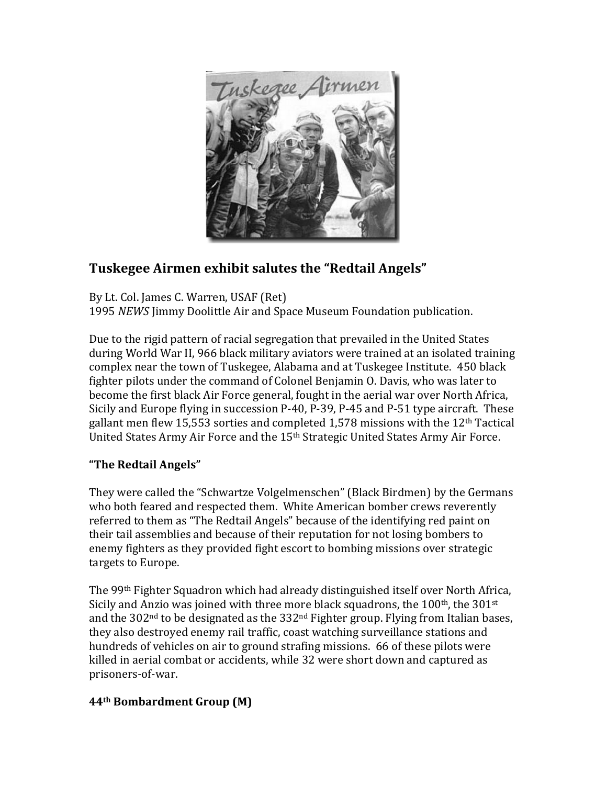

## **Tuskegee Airmen exhibit salutes the "Redtail Angels"**

By Lt. Col. James C. Warren, USAF (Ret) 1995 *NEWS* Jimmy Doolittle Air and Space Museum Foundation publication.

Due to the rigid pattern of racial segregation that prevailed in the United States during World War II, 966 black military aviators were trained at an isolated training complex near the town of Tuskegee, Alabama and at Tuskegee Institute. 450 black fighter pilots under the command of Colonel Benjamin O. Davis, who was later to become the first black Air Force general, fought in the aerial war over North Africa, Sicily and Europe flying in succession P-40, P-39, P-45 and P-51 type aircraft. These gallant men flew 15,553 sorties and completed 1,578 missions with the  $12<sup>th</sup>$  Tactical United States Army Air Force and the 15<sup>th</sup> Strategic United States Army Air Force.

## **"The Redtail Angels"**

They were called the "Schwartze Volgelmenschen" (Black Birdmen) by the Germans who both feared and respected them. White American bomber crews reverently referred to them as "The Redtail Angels" because of the identifying red paint on their tail assemblies and because of their reputation for not losing bombers to enemy fighters as they provided fight escort to bombing missions over strategic targets to Europe.

The 99<sup>th</sup> Fighter Squadron which had already distinguished itself over North Africa, Sicily and Anzio was joined with three more black squadrons, the  $100<sup>th</sup>$ , the  $301<sup>st</sup>$ and the  $302<sup>nd</sup>$  to be designated as the  $332<sup>nd</sup>$  Fighter group. Flying from Italian bases, they also destroyed enemy rail traffic, coast watching surveillance stations and hundreds of vehicles on air to ground strafing missions. 66 of these pilots were killed in aerial combat or accidents, while 32 were short down and captured as prisoners-of-war.

## **44th Bombardment Group (M)**